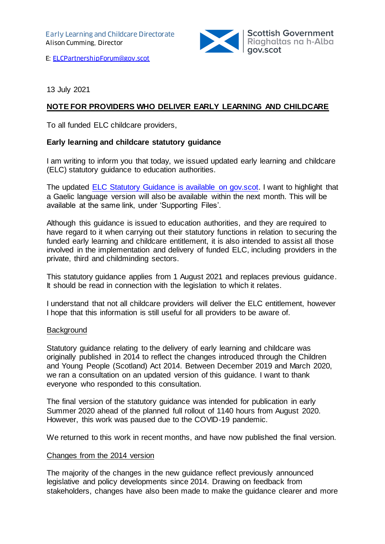

E: [ELCPartnershipForum@gov.scot](mailto:ELCPartnershipForum@gov.scot)

13 July 2021

## **NOTE FOR PROVIDERS WHO DELIVER EARLY LEARNING AND CHILDCARE**

To all funded ELC childcare providers,

## **Early learning and childcare statutory guidance**

I am writing to inform you that today, we issued updated early learning and childcare (ELC) statutory guidance to education authorities.

The updated [ELC Statutory Guidance is available on gov.scot.](https://www.gov.scot/isbn/9781802011579) I want to highlight that a Gaelic language version will also be available within the next month. This will be available at the same link, under 'Supporting Files'.

Although this guidance is issued to education authorities, and they are required to have regard to it when carrying out their statutory functions in relation to securing the funded early learning and childcare entitlement, it is also intended to assist all those involved in the implementation and delivery of funded ELC, including providers in the private, third and childminding sectors.

This statutory guidance applies from 1 August 2021 and replaces previous guidance. It should be read in connection with the legislation to which it relates.

I understand that not all childcare providers will deliver the ELC entitlement, however I hope that this information is still useful for all providers to be aware of.

## **Background**

Statutory guidance relating to the delivery of early learning and childcare was originally published in 2014 to reflect the changes introduced through the Children and Young People (Scotland) Act 2014. Between December 2019 and March 2020, we ran a consultation on an updated version of this guidance. I want to thank everyone who responded to this consultation.

The final version of the statutory guidance was intended for publication in early Summer 2020 ahead of the planned full rollout of 1140 hours from August 2020. However, this work was paused due to the COVID-19 pandemic.

We returned to this work in recent months, and have now published the final version.

## Changes from the 2014 version

The majority of the changes in the new guidance reflect previously announced legislative and policy developments since 2014. Drawing on feedback from stakeholders, changes have also been made to make the guidance clearer and more